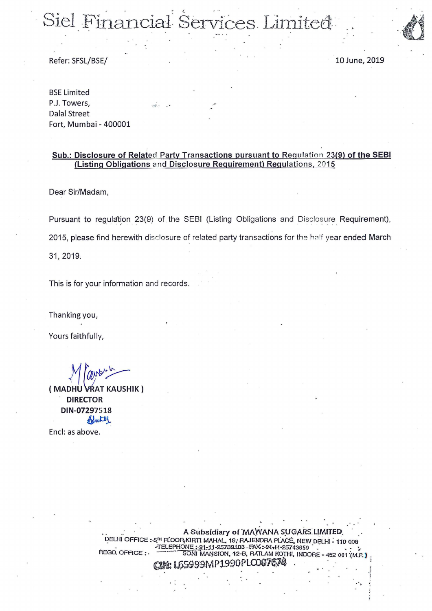# Siel Financial Services Limited

Refer: SFSL/BSE/

10 June, 2019

**BSE Limited** P.J. Towers, **Dalal Street** Fort, Mumbai - 400001

#### Sub.: Disclosure of Related Party Transactions pursuant to Regulation 23(9) of the SEBI (Listing Obligations and Disclosure Requirement) Regulations, 2015

Dear Sir/Madam,

Pursuant to regulation 23(9) of the SEBI (Listing Obligations and Disclosure Requirement), 2015, please find herewith disclosure of related party transactions for the half year ended March 31, 2019.

This is for your information and records.

Thanking you,

Yours faithfully,

(MADHU VRAT KAUSHIK) **DIRECTOR** DIN-07297518 Blinter

Encl: as above.

A Subsidiary of MAWANA SUGARS LIMITED. DELHI OFFICE: 5TH FLOOR KIRTI MAHAL, 19, RAJENDRA PLACE, NEW DELHI - 110 008 **TELEPHONF**  $:91 - 11 - 25739103$ FAX: 91-H-25743659 REGD. OFFICE: MANSION, 12-B, RATLAM KOTHI, INDORE 9MP1990PLC007674